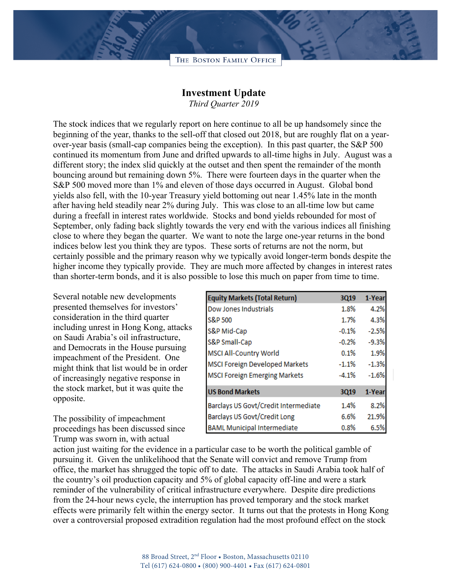

## **Investment Update**

*Third Quarter 2019*

The stock indices that we regularly report on here continue to all be up handsomely since the beginning of the year, thanks to the sell-off that closed out 2018, but are roughly flat on a yearover-year basis (small-cap companies being the exception). In this past quarter, the S&P 500 continued its momentum from June and drifted upwards to all-time highs in July. August was a different story; the index slid quickly at the outset and then spent the remainder of the month bouncing around but remaining down 5%. There were fourteen days in the quarter when the S&P 500 moved more than 1% and eleven of those days occurred in August. Global bond yields also fell, with the 10-year Treasury yield bottoming out near 1.45% late in the month after having held steadily near 2% during July. This was close to an all-time low but came during a freefall in interest rates worldwide. Stocks and bond yields rebounded for most of September, only fading back slightly towards the very end with the various indices all finishing close to where they began the quarter. We want to note the large one-year returns in the bond indices below lest you think they are typos. These sorts of returns are not the norm, but certainly possible and the primary reason why we typically avoid longer-term bonds despite the higher income they typically provide. They are much more affected by changes in interest rates than shorter-term bonds, and it is also possible to lose this much on paper from time to time.

Several notable new developments presented themselves for investors' consideration in the third quarter including unrest in Hong Kong, attacks on Saudi Arabia's oil infrastructure, and Democrats in the House pursuing impeachment of the President. One might think that list would be in order of increasingly negative response in the stock market, but it was quite the opposite.

The possibility of impeachment proceedings has been discussed since Trump was sworn in, with actual

| <b>Equity Markets (Total Return)</b>  | 3Q19    | 1-Year  |
|---------------------------------------|---------|---------|
| Dow Jones Industrials                 | 1.8%    | 4.2%    |
| S&P 500                               | 1.7%    | 4.3%    |
| S&P Mid-Cap                           | $-0.1%$ | $-2.5%$ |
| S&P Small-Cap                         | $-0.2%$ | $-9.3%$ |
| <b>MSCI All-Country World</b>         | 0.1%    | 1.9%    |
| <b>MSCI Foreign Developed Markets</b> | $-1.1%$ | $-1.3%$ |
| <b>MSCI Foreign Emerging Markets</b>  | $-4.1%$ | $-1.6%$ |
| <b>US Bond Markets</b>                | 3Q19    | 1-Year  |
| Barclays US Govt/Credit Intermediate  | 1.4%    | 8.2%    |
| Barclays US Govt/Credit Long          | 6.6%    | 21.9%   |
| <b>BAML Municipal Intermediate</b>    | 0.8%    | 6.5%    |

action just waiting for the evidence in a particular case to be worth the political gamble of pursuing it. Given the unlikelihood that the Senate will convict and remove Trump from office, the market has shrugged the topic off to date. The attacks in Saudi Arabia took half of the country's oil production capacity and 5% of global capacity off-line and were a stark reminder of the vulnerability of critical infrastructure everywhere. Despite dire predictions from the 24-hour news cycle, the interruption has proved temporary and the stock market effects were primarily felt within the energy sector. It turns out that the protests in Hong Kong over a controversial proposed extradition regulation had the most profound effect on the stock